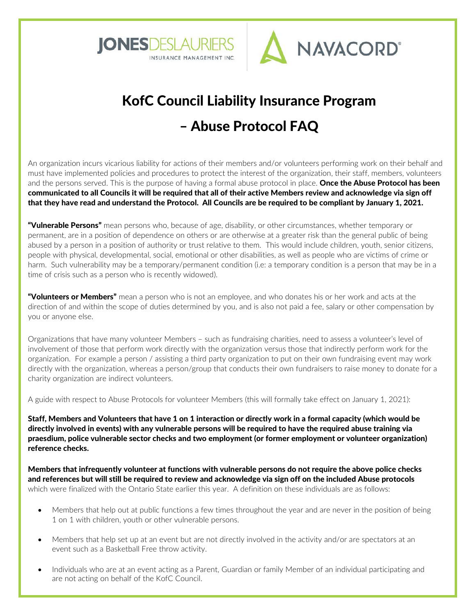



# KofC Council Liability Insurance Program – Abuse Protocol FAQ

An organization incurs vicarious liability for actions of their members and/or volunteers performing work on their behalf and must have implemented policies and procedures to protect the interest of the organization, their staff, members, volunteers and the persons served. This is the purpose of having a formal abuse protocol in place. Once the Abuse Protocol has been communicated to all Councils it will be required that all of their active Members review and acknowledge via sign off that they have read and understand the Protocol. All Councils are be required to be compliant by January 1, 2021.

"Vulnerable Persons" mean persons who, because of age, disability, or other circumstances, whether temporary or permanent, are in a position of dependence on others or are otherwise at a greater risk than the general public of being abused by a person in a position of authority or trust relative to them. This would include children, youth, senior citizens, people with physical, developmental, social, emotional or other disabilities, as well as people who are victims of crime or harm. Such vulnerability may be a temporary/permanent condition (i.e: a temporary condition is a person that may be in a time of crisis such as a person who is recently widowed).

"Volunteers or Members" mean a person who is not an employee, and who donates his or her work and acts at the direction of and within the scope of duties determined by you, and is also not paid a fee, salary or other compensation by you or anyone else.

Organizations that have many volunteer Members – such as fundraising charities, need to assess a volunteer's level of involvement of those that perform work directly with the organization versus those that indirectly perform work for the organization. For example a person / assisting a third party organization to put on their own fundraising event may work directly with the organization, whereas a person/group that conducts their own fundraisers to raise money to donate for a charity organization are indirect volunteers.

A guide with respect to Abuse Protocols for volunteer Members (this will formally take effect on January 1, 2021):

Staff, Members and Volunteers that have 1 on 1 interaction or directly work in a formal capacity (which would be directly involved in events) with any vulnerable persons will be required to have the required abuse training via praesdium, police vulnerable sector checks and two employment (or former employment or volunteer organization) reference checks.

Members that infrequently volunteer at functions with vulnerable persons do not require the above police checks and references but will still be required to review and acknowledge via sign off on the included Abuse protocols which were finalized with the Ontario State earlier this year. A definition on these individuals are as follows:

- Members that help out at public functions a few times throughout the year and are never in the position of being 1 on 1 with children, youth or other vulnerable persons.
- Members that help set up at an event but are not directly involved in the activity and/or are spectators at an event such as a Basketball Free throw activity.
- Individuals who are at an event acting as a Parent, Guardian or family Member of an individual participating and are not acting on behalf of the KofC Council.